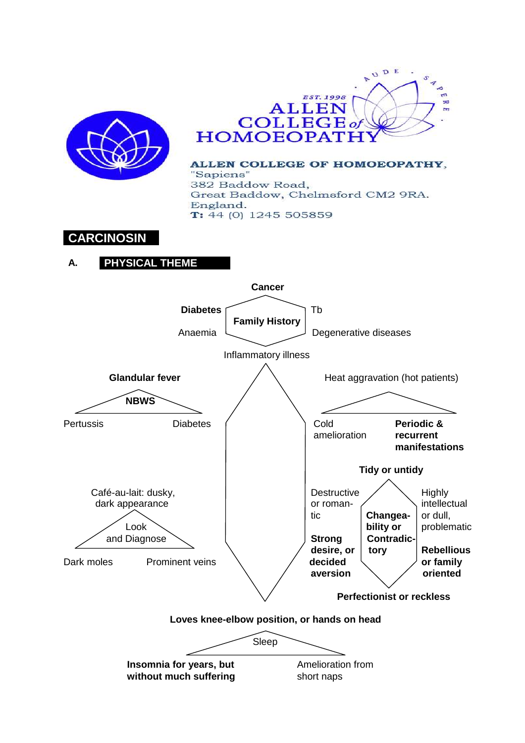

# N D E **EST. 1998 ALLEN COLLEGE HOMOEOPA**

ALLEN COLLEGE OF HOMOEOPATHY, "Sapiens" 382 Baddow Road, Great Baddow, Chelmsford CM2 9RA. England.  $T: 44(0)$  1245 505859

## **CARCINOSIN**

## **A. PHYSICAL THEME**

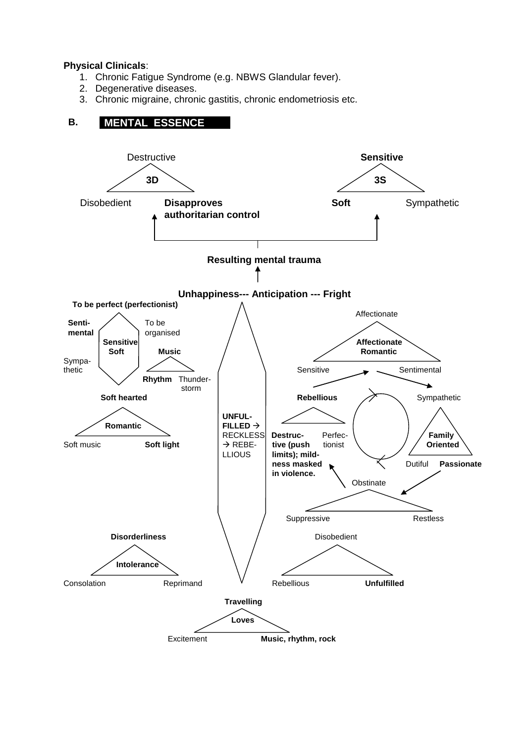#### **Physical Clinicals**:

- 1. Chronic Fatigue Syndrome (e.g. NBWS Glandular fever).
- 2. Degenerative diseases.
- 3. Chronic migraine, chronic gastitis, chronic endometriosis etc.

## **B. MENTAL ESSENCE**

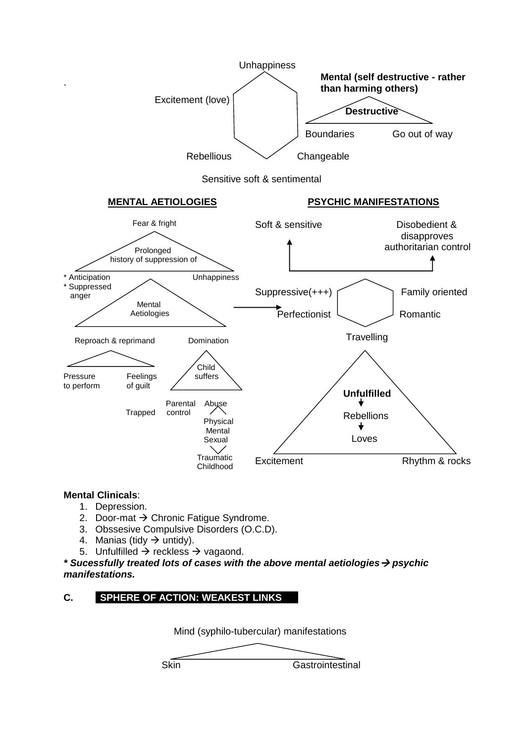

#### **Mental Clinicals**:

- 1. Depression.
- 2. Door-mat  $\rightarrow$  Chronic Fatigue Syndrome.
- 3. Obssesive Compulsive Disorders (O.C.D).
- 4. Manias (tidy  $\rightarrow$  untidy).
- 5. Unfulfilled  $\rightarrow$  reckless  $\rightarrow$  vagaond.

*\* Sucessfully treated lots of cases with the above mental aetiologies psychic manifestations.*

#### **C. SPHERE OF ACTION: WEAKEST LINKS**

Mind (syphilo-tubercular) manifestations

Skin Gastrointestinal